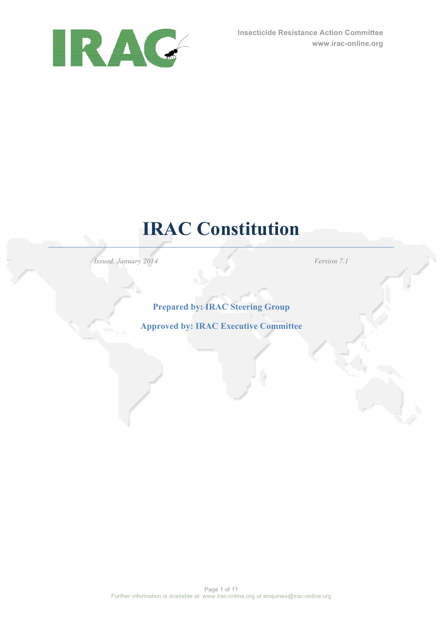

# **IRAC Constitution**

*Issued, January 2014 Version 7.1*

# **Prepared by: IRAC Steering Group**

# **Approved by: IRAC Executive Committee**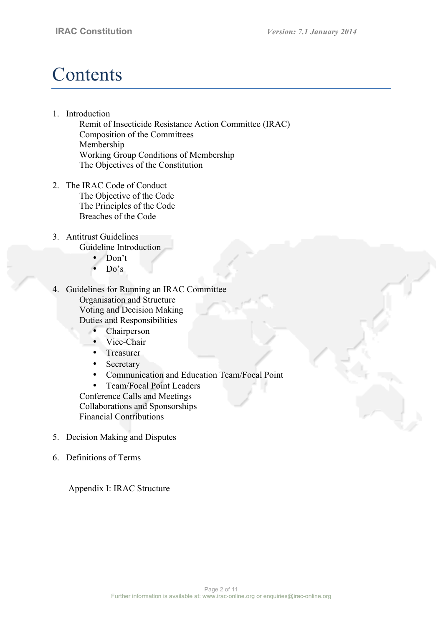# **Contents**

1. Introduction

Remit of Insecticide Resistance Action Committee (IRAC) Composition of the Committees Membership Working Group Conditions of Membership The Objectives of the Constitution

- 2. The IRAC Code of Conduct The Objective of the Code The Principles of the Code Breaches of the Code
- 3. Antitrust Guidelines Guideline Introduction
	- Don't
	- $Do's$
- 4. Guidelines for Running an IRAC Committee Organisation and Structure Voting and Decision Making Duties and Responsibilities
	- Chairperson
	- Vice-Chair
	- Treasurer
	- **Secretary**
	- Communication and Education Team/Focal Point
	- Team/Focal Point Leaders

Conference Calls and Meetings Collaborations and Sponsorships Financial Contributions

- 5. Decision Making and Disputes
- 6. Definitions of Terms

Appendix I: IRAC Structure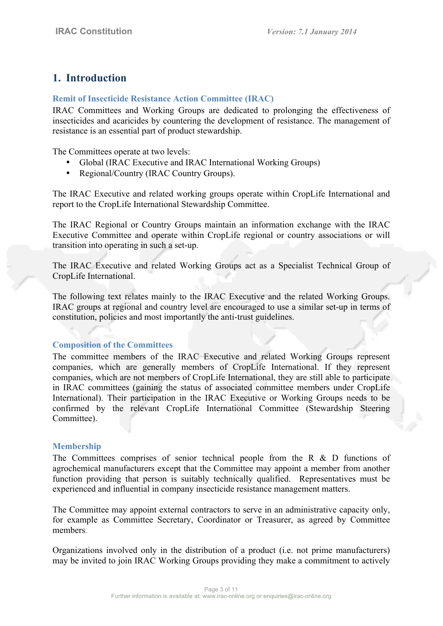# **1. Introduction**

## **Remit of Insecticide Resistance Action Committee (IRAC)**

IRAC Committees and Working Groups are dedicated to prolonging the effectiveness of insecticides and acaricides by countering the development of resistance. The management of resistance is an essential part of product stewardship.

The Committees operate at two levels:

- Global (IRAC Executive and IRAC International Working Groups)
- Regional/Country (IRAC Country Groups).

The IRAC Executive and related working groups operate within CropLife International and report to the CropLife International Stewardship Committee.

The IRAC Regional or Country Groups maintain an information exchange with the IRAC Executive Committee and operate within CropLife regional or country associations or will transition into operating in such a set-up.

The IRAC Executive and related Working Groups act as a Specialist Technical Group of CropLife International.

The following text relates mainly to the IRAC Executive and the related Working Groups. IRAC groups at regional and country level are encouraged to use a similar set-up in terms of constitution, policies and most importantly the anti-trust guidelines.

#### **Composition of the Committees**

The committee members of the IRAC Executive and related Working Groups represent companies, which are generally members of CropLife International. If they represent companies, which are not members of CropLife International, they are still able to participate in IRAC committees (gaining the status of associated committee members under CropLife International). Their participation in the IRAC Executive or Working Groups needs to be confirmed by the relevant CropLife International Committee (Stewardship Steering Committee).

#### **Membership**

The Committees comprises of senior technical people from the R & D functions of agrochemical manufacturers except that the Committee may appoint a member from another function providing that person is suitably technically qualified. Representatives must be experienced and influential in company insecticide resistance management matters.

The Committee may appoint external contractors to serve in an administrative capacity only, for example as Committee Secretary, Coordinator or Treasurer, as agreed by Committee members.

Organizations involved only in the distribution of a product (i.e. not prime manufacturers) may be invited to join IRAC Working Groups providing they make a commitment to actively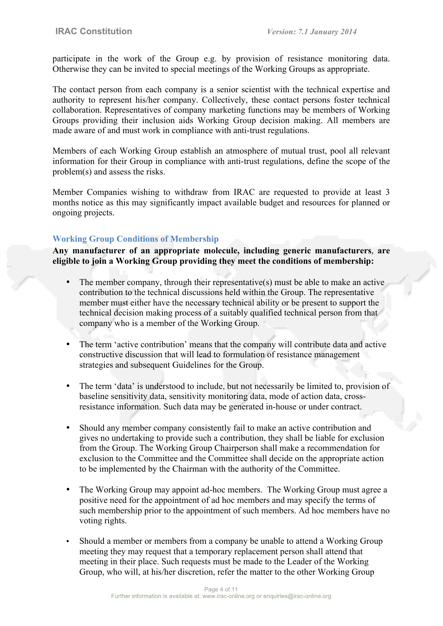participate in the work of the Group e.g. by provision of resistance monitoring data. Otherwise they can be invited to special meetings of the Working Groups as appropriate.

The contact person from each company is a senior scientist with the technical expertise and authority to represent his/her company. Collectively, these contact persons foster technical collaboration. Representatives of company marketing functions may be members of Working Groups providing their inclusion aids Working Group decision making. All members are made aware of and must work in compliance with anti-trust regulations.

Members of each Working Group establish an atmosphere of mutual trust, pool all relevant information for their Group in compliance with anti-trust regulations, define the scope of the problem(s) and assess the risks.

Member Companies wishing to withdraw from IRAC are requested to provide at least 3 months notice as this may significantly impact available budget and resources for planned or ongoing projects.

## **Working Group Conditions of Membership**

**Any manufacturer of an appropriate molecule, including generic manufacturers**, **are eligible to join a Working Group providing they meet the conditions of membership:**

- The member company, through their representative(s) must be able to make an active contribution to the technical discussions held within the Group. The representative member must either have the necessary technical ability or be present to support the technical decision making process of a suitably qualified technical person from that company who is a member of the Working Group.
- The term 'active contribution' means that the company will contribute data and active constructive discussion that will lead to formulation of resistance management strategies and subsequent Guidelines for the Group.
- The term 'data' is understood to include, but not necessarily be limited to, provision of baseline sensitivity data, sensitivity monitoring data, mode of action data, crossresistance information. Such data may be generated in-house or under contract.
- Should any member company consistently fail to make an active contribution and gives no undertaking to provide such a contribution, they shall be liable for exclusion from the Group. The Working Group Chairperson shall make a recommendation for exclusion to the Committee and the Committee shall decide on the appropriate action to be implemented by the Chairman with the authority of the Committee.
- The Working Group may appoint ad-hoc members. The Working Group must agree a positive need for the appointment of ad hoc members and may specify the terms of such membership prior to the appointment of such members. Ad hoc members have no voting rights.
- Should a member or members from a company be unable to attend a Working Group meeting they may request that a temporary replacement person shall attend that meeting in their place. Such requests must be made to the Leader of the Working Group, who will, at his/her discretion, refer the matter to the other Working Group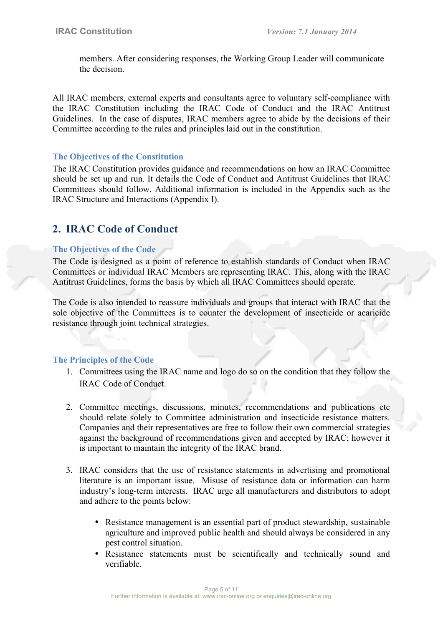members. After considering responses, the Working Group Leader will communicate the decision.

All IRAC members, external experts and consultants agree to voluntary self-compliance with the IRAC Constitution including the IRAC Code of Conduct and the IRAC Antitrust Guidelines. In the case of disputes, IRAC members agree to abide by the decisions of their Committee according to the rules and principles laid out in the constitution.

#### **The Objectives of the Constitution**

The IRAC Constitution provides guidance and recommendations on how an IRAC Committee should be set up and run. It details the Code of Conduct and Antitrust Guidelines that IRAC Committees should follow. Additional information is included in the Appendix such as the IRAC Structure and Interactions (Appendix I).

# **2. IRAC Code of Conduct**

## **The Objectives of the Code**

The Code is designed as a point of reference to establish standards of Conduct when IRAC Committees or individual IRAC Members are representing IRAC. This, along with the IRAC Antitrust Guidelines, forms the basis by which all IRAC Committees should operate.

The Code is also intended to reassure individuals and groups that interact with IRAC that the sole objective of the Committees is to counter the development of insecticide or acaricide resistance through joint technical strategies.

#### **The Principles of the Code**

- 1. Committees using the IRAC name and logo do so on the condition that they follow the IRAC Code of Conduct.
- 2. Committee meetings, discussions, minutes, recommendations and publications etc should relate solely to Committee administration and insecticide resistance matters. Companies and their representatives are free to follow their own commercial strategies against the background of recommendations given and accepted by IRAC; however it is important to maintain the integrity of the IRAC brand.
- 3. IRAC considers that the use of resistance statements in advertising and promotional literature is an important issue. Misuse of resistance data or information can harm industry's long-term interests. IRAC urge all manufacturers and distributors to adopt and adhere to the points below:
	- Resistance management is an essential part of product stewardship, sustainable agriculture and improved public health and should always be considered in any pest control situation.
	- Resistance statements must be scientifically and technically sound and verifiable.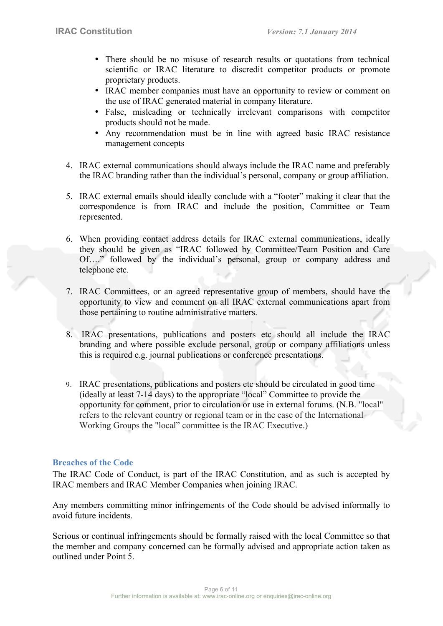- There should be no misuse of research results or quotations from technical scientific or IRAC literature to discredit competitor products or promote proprietary products.
- IRAC member companies must have an opportunity to review or comment on the use of IRAC generated material in company literature.
- False, misleading or technically irrelevant comparisons with competitor products should not be made.
- Any recommendation must be in line with agreed basic IRAC resistance management concepts
- 4. IRAC external communications should always include the IRAC name and preferably the IRAC branding rather than the individual's personal, company or group affiliation.
- 5. IRAC external emails should ideally conclude with a "footer" making it clear that the correspondence is from IRAC and include the position, Committee or Team represented.
- 6. When providing contact address details for IRAC external communications, ideally they should be given as "IRAC followed by Committee/Team Position and Care Of…." followed by the individual's personal, group or company address and telephone etc.
- 7. IRAC Committees, or an agreed representative group of members, should have the opportunity to view and comment on all IRAC external communications apart from those pertaining to routine administrative matters.
- 8. IRAC presentations, publications and posters etc should all include the IRAC branding and where possible exclude personal, group or company affiliations unless this is required e.g. journal publications or conference presentations.
- 9. IRAC presentations, publications and posters etc should be circulated in good time (ideally at least 7-14 days) to the appropriate "local" Committee to provide the opportunity for comment, prior to circulation or use in external forums. (N.B. "local" refers to the relevant country or regional team or in the case of the International Working Groups the "local" committee is the IRAC Executive.)

#### **Breaches of the Code**

The IRAC Code of Conduct, is part of the IRAC Constitution, and as such is accepted by IRAC members and IRAC Member Companies when joining IRAC.

Any members committing minor infringements of the Code should be advised informally to avoid future incidents.

Serious or continual infringements should be formally raised with the local Committee so that the member and company concerned can be formally advised and appropriate action taken as outlined under Point 5.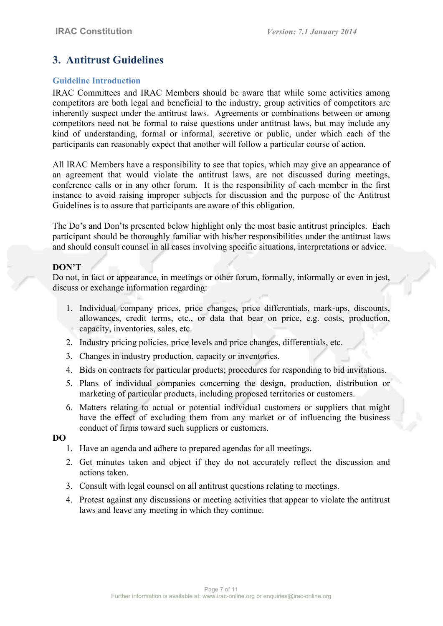# **3. Antitrust Guidelines**

#### **Guideline Introduction**

IRAC Committees and IRAC Members should be aware that while some activities among competitors are both legal and beneficial to the industry, group activities of competitors are inherently suspect under the antitrust laws. Agreements or combinations between or among competitors need not be formal to raise questions under antitrust laws, but may include any kind of understanding, formal or informal, secretive or public, under which each of the participants can reasonably expect that another will follow a particular course of action.

All IRAC Members have a responsibility to see that topics, which may give an appearance of an agreement that would violate the antitrust laws, are not discussed during meetings, conference calls or in any other forum. It is the responsibility of each member in the first instance to avoid raising improper subjects for discussion and the purpose of the Antitrust Guidelines is to assure that participants are aware of this obligation.

The Do's and Don'ts presented below highlight only the most basic antitrust principles. Each participant should be thoroughly familiar with his/her responsibilities under the antitrust laws and should consult counsel in all cases involving specific situations, interpretations or advice.

#### **DON'T**

Do not, in fact or appearance, in meetings or other forum, formally, informally or even in jest, discuss or exchange information regarding:

- 1. Individual company prices, price changes, price differentials, mark-ups, discounts, allowances, credit terms, etc., or data that bear on price, e.g. costs, production, capacity, inventories, sales, etc.
- 2. Industry pricing policies, price levels and price changes, differentials, etc.
- 3. Changes in industry production, capacity or inventories.
- 4. Bids on contracts for particular products; procedures for responding to bid invitations.
- 5. Plans of individual companies concerning the design, production, distribution or marketing of particular products, including proposed territories or customers.
- 6. Matters relating to actual or potential individual customers or suppliers that might have the effect of excluding them from any market or of influencing the business conduct of firms toward such suppliers or customers.

#### **DO**

- 1. Have an agenda and adhere to prepared agendas for all meetings.
- 2. Get minutes taken and object if they do not accurately reflect the discussion and actions taken.
- 3. Consult with legal counsel on all antitrust questions relating to meetings.
- 4. Protest against any discussions or meeting activities that appear to violate the antitrust laws and leave any meeting in which they continue.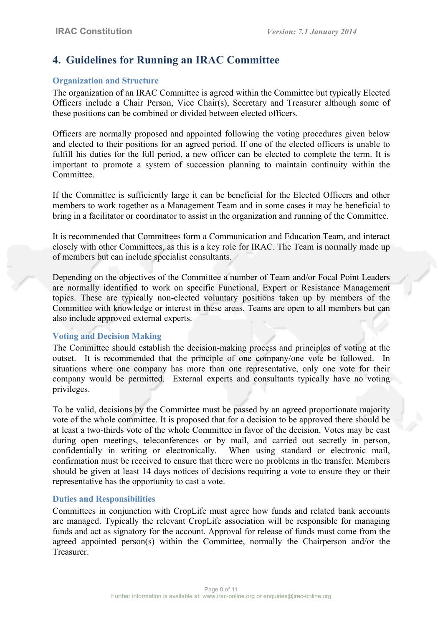# **4. Guidelines for Running an IRAC Committee**

## **Organization and Structure**

The organization of an IRAC Committee is agreed within the Committee but typically Elected Officers include a Chair Person, Vice Chair(s), Secretary and Treasurer although some of these positions can be combined or divided between elected officers.

Officers are normally proposed and appointed following the voting procedures given below and elected to their positions for an agreed period. If one of the elected officers is unable to fulfill his duties for the full period, a new officer can be elected to complete the term. It is important to promote a system of succession planning to maintain continuity within the Committee.

If the Committee is sufficiently large it can be beneficial for the Elected Officers and other members to work together as a Management Team and in some cases it may be beneficial to bring in a facilitator or coordinator to assist in the organization and running of the Committee.

It is recommended that Committees form a Communication and Education Team, and interact closely with other Committees, as this is a key role for IRAC. The Team is normally made up of members but can include specialist consultants.

Depending on the objectives of the Committee a number of Team and/or Focal Point Leaders are normally identified to work on specific Functional, Expert or Resistance Management topics. These are typically non-elected voluntary positions taken up by members of the Committee with knowledge or interest in these areas. Teams are open to all members but can also include approved external experts.

## **Voting and Decision Making**

The Committee should establish the decision-making process and principles of voting at the outset. It is recommended that the principle of one company/one vote be followed. In situations where one company has more than one representative, only one vote for their company would be permitted. External experts and consultants typically have no voting privileges.

To be valid, decisions by the Committee must be passed by an agreed proportionate majority vote of the whole committee. It is proposed that for a decision to be approved there should be at least a two-thirds vote of the whole Committee in favor of the decision. Votes may be cast during open meetings, teleconferences or by mail, and carried out secretly in person, confidentially in writing or electronically. When using standard or electronic mail, confirmation must be received to ensure that there were no problems in the transfer. Members should be given at least 14 days notices of decisions requiring a vote to ensure they or their representative has the opportunity to cast a vote.

#### **Duties and Responsibilities**

Committees in conjunction with CropLife must agree how funds and related bank accounts are managed. Typically the relevant CropLife association will be responsible for managing funds and act as signatory for the account. Approval for release of funds must come from the agreed appointed person(s) within the Committee, normally the Chairperson and/or the Treasurer.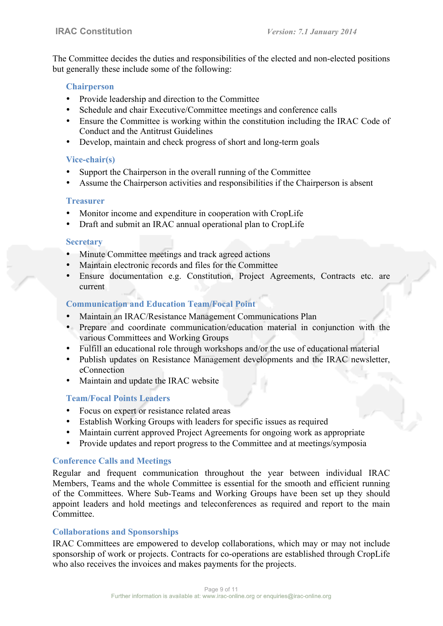The Committee decides the duties and responsibilities of the elected and non-elected positions but generally these include some of the following:

#### **Chairperson**

- Provide leadership and direction to the Committee
- Schedule and chair Executive/Committee meetings and conference calls
- Ensure the Committee is working within the constitution including the IRAC Code of Conduct and the Antitrust Guidelines
- Develop, maintain and check progress of short and long-term goals

## **Vice-chair(s)**

- Support the Chairperson in the overall running of the Committee
- Assume the Chairperson activities and responsibilities if the Chairperson is absent

## **Treasurer**

- Monitor income and expenditure in cooperation with CropLife
- Draft and submit an IRAC annual operational plan to CropLife

## **Secretary**

- Minute Committee meetings and track agreed actions
- Maintain electronic records and files for the Committee
- Ensure documentation e.g. Constitution, Project Agreements, Contracts etc. are current

# **Communication and Education Team/Focal Point**

- Maintain an IRAC/Resistance Management Communications Plan
- Prepare and coordinate communication/education material in conjunction with the various Committees and Working Groups
- Fulfill an educational role through workshops and/or the use of educational material
- Publish updates on Resistance Management developments and the IRAC newsletter, eConnection
- Maintain and update the IRAC website

## **Team/Focal Points Leaders**

- Focus on expert or resistance related areas
- Establish Working Groups with leaders for specific issues as required
- Maintain current approved Project Agreements for ongoing work as appropriate
- Provide updates and report progress to the Committee and at meetings/symposia

## **Conference Calls and Meetings**

Regular and frequent communication throughout the year between individual IRAC Members, Teams and the whole Committee is essential for the smooth and efficient running of the Committees. Where Sub-Teams and Working Groups have been set up they should appoint leaders and hold meetings and teleconferences as required and report to the main **Committee** 

## **Collaborations and Sponsorships**

IRAC Committees are empowered to develop collaborations, which may or may not include sponsorship of work or projects. Contracts for co-operations are established through CropLife who also receives the invoices and makes payments for the projects.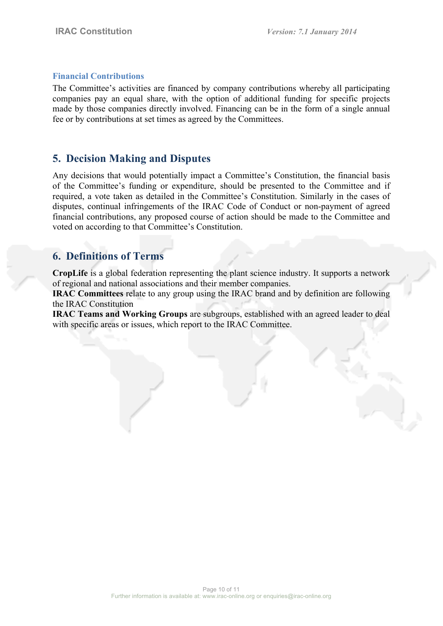#### **Financial Contributions**

The Committee's activities are financed by company contributions whereby all participating companies pay an equal share, with the option of additional funding for specific projects made by those companies directly involved. Financing can be in the form of a single annual fee or by contributions at set times as agreed by the Committees.

# **5. Decision Making and Disputes**

Any decisions that would potentially impact a Committee's Constitution, the financial basis of the Committee's funding or expenditure, should be presented to the Committee and if required, a vote taken as detailed in the Committee's Constitution. Similarly in the cases of disputes, continual infringements of the IRAC Code of Conduct or non-payment of agreed financial contributions, any proposed course of action should be made to the Committee and voted on according to that Committee's Constitution.

# **6. Definitions of Terms**

**CropLife** is a global federation representing the plant science industry. It supports a network of regional and national associations and their member companies.

**IRAC Committees** relate to any group using the IRAC brand and by definition are following the IRAC Constitution

**IRAC Teams and Working Groups** are subgroups, established with an agreed leader to deal with specific areas or issues, which report to the IRAC Committee.